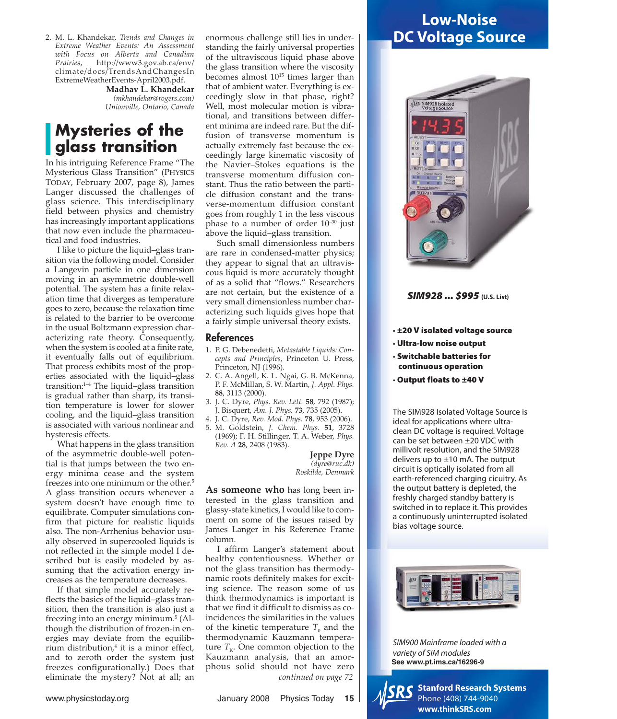2. M. L. Khandekar, *Trends and Changes in Extreme Weather Events: An Assessment with Focus on Alberta and Canadian Prairies*, http://www3.gov.ab.ca/env/ climate/docs/TrendsAndChangesIn ExtremeWeatherEvents-April2003.pdf.

**Madhav L. Khandekar** *(mkhandekar@rogers.com) Unionville, Ontario, Canada*

## **Mysteries of the glass transition**

In his intriguing Reference Frame "The Mysterious Glass Transition" (PHYSICS TODAY, February 2007, page 8), James Langer discussed the challenges of glass science. This interdisciplinary field between physics and chemistry has increasingly important applications that now even include the pharmaceutical and food industries.

I like to picture the liquid–glass transition via the following model. Consider a Langevin particle in one dimension moving in an asymmetric double-well potential. The system has a finite relaxation time that diverges as temperature goes to zero, because the relaxation time is related to the barrier to be overcome in the usual Boltzmann expression characterizing rate theory. Consequently, when the system is cooled at a finite rate, it eventually falls out of equilibrium. That process exhibits most of the properties associated with the liquid–glass transition:1–4 The liquid–glass transition is gradual rather than sharp, its transition temperature is lower for slower cooling, and the liquid–glass transition is associated with various nonlinear and hysteresis effects.

What happens in the glass transition of the asymmetric double-well potential is that jumps between the two energy minima cease and the system freezes into one minimum or the other.<sup>5</sup> A glass transition occurs whenever a system doesn't have enough time to equilibrate. Computer simulations confirm that picture for realistic liquids also. The non-Arrhenius behavior usually observed in supercooled liquids is not reflected in the simple model I described but is easily modeled by assuming that the activation energy increases as the temperature decreases.

If that simple model accurately reflects the basics of the liquid–glass transition, then the transition is also just a freezing into an energy minimum.<sup>5</sup> (Although the distribution of frozen-in energies may deviate from the equilibrium distribution, $4$  it is a minor effect, and to zeroth order the system just freezes configurationally.) Does that eliminate the mystery? Not at all; an

enormous challenge still lies in understanding the fairly universal properties of the ultraviscous liquid phase above the glass transition where the viscosity becomes almost  $10^{15}$  times larger than that of ambient water. Everything is exceedingly slow in that phase, right? Well, most molecular motion is vibrational, and transitions between different minima are indeed rare. But the diffusion of transverse momentum is actually extremely fast because the exceedingly large kinematic viscosity of the Navier–Stokes equations is the transverse momentum diffusion constant. Thus the ratio between the particle diffusion constant and the transverse-momentum diffusion constant goes from roughly 1 in the less viscous phase to a number of order 10–30 just above the liquid–glass transition.

Such small dimensionless numbers are rare in condensed-matter physics; they appear to signal that an ultraviscous liquid is more accurately thought of as a solid that "flows." Researchers are not certain, but the existence of a very small dimensionless number characterizing such liquids gives hope that a fairly simple universal theory exists.

### References

- 1. P. G. Debenedetti, *Metastable Liquids: Concepts and Principles*, Princeton U. Press, Princeton, NJ (1996).
- 2. C. A. Angell, K. L. Ngai, G. B. McKenna, P. F. McMillan, S. W. Martin, *J. Appl. Phys.* **88**, 3113 (2000).
- 3. J. C. Dyre, *Phys. Rev. Lett.* **58**, 792 (1987); J. Bisquert, *Am. J. Phys.* **73**, 735 (2005).
- 4. J. C. Dyre, *Rev. Mod. Phys.* **78**, 953 (2006).
- 5. M. Goldstein, *J. Chem. Phys.* **51**, 3728 (1969); F. H. Stillinger, T. A. Weber, *Phys. Rev. A* **28**, 2408 (1983).

**Jeppe Dyre** *(dyre@ruc.dk) Roskilde, Denmark*

**As someone who** has long been interested in the glass transition and glassy-state kinetics, I would like to comment on some of the issues raised by James Langer in his Reference Frame column.

I affirm Langer's statement about healthy contentiousness. Whether or not the glass transition has thermodynamic roots definitely makes for exciting science. The reason some of us think thermodynamics is important is that we find it difficult to dismiss as coincidences the similarities in the values of the kinetic temperature  $T_0$  and the thermodynamic Kauzmann temperature  $T_K$ . One common objection to the Kauzmann analysis, that an amorphous solid should not have zero *continued on page 72*

www.physicstoday.org **Internal Communist Communist Communist Communist Communist Communist Communist Communist Communist Communist Communist Communist Communist Communist Communist Communist Communist Communist Communist C** 

# **Low-Noise DC Voltage Source**



**SIM928 ... \$995 (U.S. List)**

- **· ±20 V isolated voltage source**
- **· Ultra-low noise output**
- **· Switchable batteries for continuous operation**
- **· Output floats to ±40 V**

The SIM928 Isolated Voltage Source is ideal for applications where ultraclean DC voltage is required. Voltage can be set between ±20 VDC with millivolt resolution, and the SIM928 delivers up to  $\pm$ 10 mA. The output circuit is optically isolated from all earth-referenced charging cicuitry. As the output battery is depleted, the freshly charged standby battery is switched in to replace it. This provides a continuously uninterrupted isolated bias voltage source.



SIM900 Mainframe loaded with a variety of SIM modules **See www.pt.ims.ca/16296-9**



**Stanford Research Systems** Phone (408) 744-9040 **www.thinkSRS.com**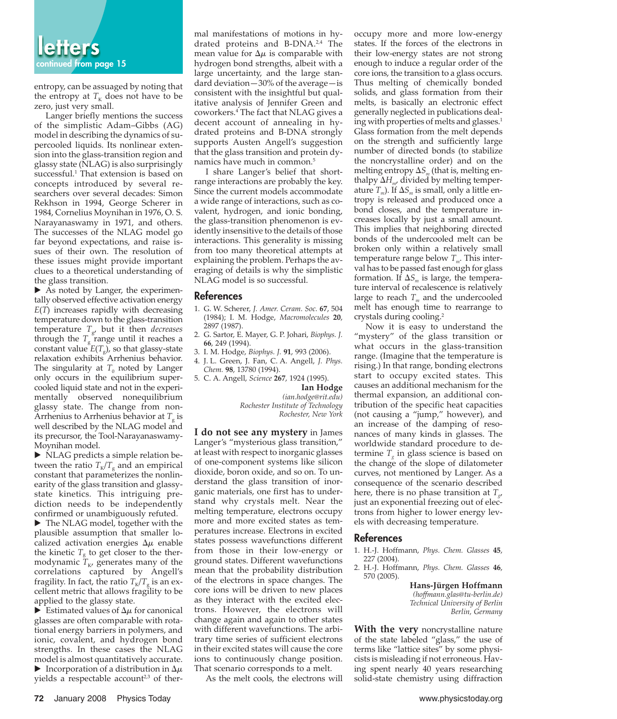entropy, can be assuaged by noting that the entropy at  $T<sub>K</sub>$  does not have to be zero, just very small.

Langer briefly mentions the success of the simplistic Adam–Gibbs (AG) model in describing the dynamics of supercooled liquids. Its nonlinear extension into the glass-transition region and glassy state (NLAG) is also surprisingly successful.<sup>1</sup> That extension is based on concepts introduced by several researchers over several decades: Simon Rekhson in 1994, George Scherer in 1984, Cornelius Moynihan in 1976, O. S. Narayanaswamy in 1971, and others. The successes of the NLAG model go far beyond expectations, and raise issues of their own. The resolution of these issues might provide important clues to a theoretical understanding of the glass transition.

- As noted by Langer, the experimentally observed effective activation energy *E*(*T*) increases rapidly with decreasing temperature down to the glass-transition temperature *T*g, but it then *decreases* through the  $T_{\rm g}$  range until it reaches a constant value  $E(T_g)$ , so that glassy-state relaxation exhibits Arrhenius behavior. The singularity at  $T_0$  noted by Langer only occurs in the equilibrium supercooled liquid state and not in the experimentally observed nonequilibrium glassy state. The change from non-Arrhenius to Arrhenius behavior at  $T<sub>g</sub>$  is well described by the NLAG model and its precursor, the Tool-Narayanaswamy-Moynihan model.

- NLAG predicts a simple relation between the ratio  $T_K/T_g$  and an empirical constant that parameterizes the nonlinearity of the glass transition and glassystate kinetics. This intriguing prediction needs to be independently confirmed or unambiguously refuted.

▶ The NLAG model, together with the plausible assumption that smaller localized activation energies  $\Delta \mu$  enable the kinetic  $T<sub>g</sub>$  to get closer to the thermodynamic  $T_{K}$ , generates many of the correlations captured by Angell's fragility. In fact, the ratio  $T_K/T_c$  is an excellent metric that allows fragility to be applied to the glassy state.

 $\blacktriangleright$  Estimated values of  $\Delta \mu$  for canonical glasses are often comparable with rotational energy barriers in polymers, and ionic, covalent, and hydrogen bond strengths. In these cases the NLAG model is almost quantitatively accurate. Incorporation of a distribution in  $\Delta \mu$ yields a respectable account<sup>2,3</sup> of thermal manifestations of motions in hydrated proteins and B-DNA.<sup>2,4</sup> The mean value for  $\Delta \mu$  is comparable with hydrogen bond strengths, albeit with a large uncertainty, and the large standard deviation—30% of the average—is consistent with the insightful but qualitative analysis of Jennifer Green and coworkers.4 The fact that NLAG gives a decent account of annealing in hydrated proteins and B-DNA strongly supports Austen Angell's suggestion that the glass transition and protein dynamics have much in common.<sup>5</sup>

I share Langer's belief that shortrange interactions are probably the key. Since the current models accommodate a wide range of interactions, such as covalent, hydrogen, and ionic bonding, the glass-transition phenomenon is evidently insensitive to the details of those interactions. This generality is missing from too many theoretical attempts at explaining the problem. Perhaps the averaging of details is why the simplistic NLAG model is so successful.

#### References

- 1. G. W. Scherer, *J. Amer. Ceram. Soc.* **67**, 504 (1984); I. M. Hodge, *Macromolecules* **20**, 2897 (1987).
- 2. G. Sartor, E. Mayer, G. P. Johari, *Biophys. J.* **66**, 249 (1994).
- 3. I. M. Hodge, *Biophys. J.* **91**, 993 (2006).
- 4. J. L. Green, J. Fan, C. A. Angell, *J. Phys. Chem.* **98**, 13780 (1994).
- 5. C. A. Angell, *Science* **267**, 1924 (1995).

**Ian Hodge**

*(ian.hodge@rit.edu) Rochester Institute of Technology Rochester, New York*

**I do not see any mystery** in James Langer's "mysterious glass transition," at least with respect to inorganic glasses of one-component systems like silicon dioxide, boron oxide, and so on. To understand the glass transition of inorganic materials, one first has to understand why crystals melt. Near the melting temperature, electrons occupy more and more excited states as temperatures increase. Electrons in excited states possess wavefunctions different from those in their low-energy or ground states. Different wavefunctions mean that the probability distribution of the electrons in space changes. The core ions will be driven to new places as they interact with the excited electrons. However, the electrons will change again and again to other states with different wavefunctions. The arbitrary time series of sufficient electrons in their excited states will cause the core ions to continuously change position. That scenario corresponds to a melt.

As the melt cools, the electrons will

occupy more and more low-energy states. If the forces of the electrons in their low-energy states are not strong enough to induce a regular order of the core ions, the transition to a glass occurs. Thus melting of chemically bonded solids, and glass formation from their melts, is basically an electronic effect generally neglected in publications dealing with properties of melts and glasses.<sup>1</sup> Glass formation from the melt depends on the strength and sufficiently large number of directed bonds (to stabilize the noncrystalline order) and on the melting entropy  $\Delta S_m$  (that is, melting enthalpy Δ*Hm*, divided by melting temperature  $T_m$ ). If  $\Delta S_m$  is small, only a little entropy is released and produced once a bond closes, and the temperature increases locally by just a small amount. This implies that neighboring directed bonds of the undercooled melt can be broken only within a relatively small temperature range below  $T_m$ . This interval has to be passed fast enough for glass formation. If  $\Delta S_m$  is large, the temperature interval of recalescence is relatively large to reach  $T_m$  and the undercooled melt has enough time to rearrange to crystals during cooling.2

Now it is easy to understand the "mystery" of the glass transition or what occurs in the glass-transition range. (Imagine that the temperature is rising.) In that range, bonding electrons start to occupy excited states. This causes an additional mechanism for the thermal expansion, an additional contribution of the specific heat capacities (not causing a "jump," however), and an increase of the damping of resonances of many kinds in glasses. The worldwide standard procedure to determine  $T<sub>e</sub>$  in glass science is based on the change of the slope of dilatometer curves, not mentioned by Langer. As a consequence of the scenario described here, there is no phase transition at  $T_{\alpha}$ , just an exponential freezing out of electrons from higher to lower energy levels with decreasing temperature.

#### References

- 1. H.-J. Hoffmann, *Phys. Chem. Glasses* **45**, 227 (2004).
- 2. H.-J. Hoffmann, *Phys. Chem. Glasses* **46**, 570 (2005).

**Hans-Jürgen Hoffmann** *(hoffmann.glas@tu-berlin.de) Technical University of Berlin Berlin, Germany*

**With the very** noncrystalline nature of the state labeled "glass," the use of terms like "lattice sites" by some physicists is misleading if not erroneous. Having spent nearly 40 years researching solid-state chemistry using diffraction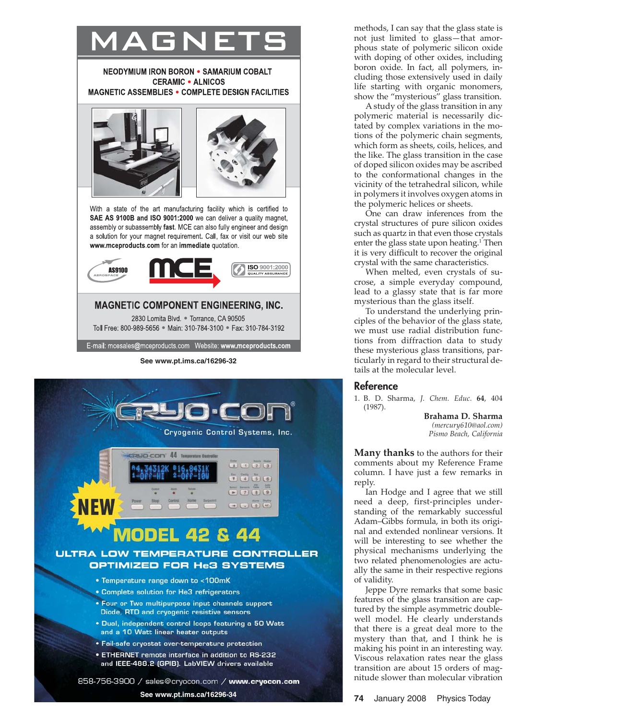





methods, I can say that the glass state is not just limited to glass—that amorphous state of polymeric silicon oxide with doping of other oxides, including boron oxide. In fact, all polymers, including those extensively used in daily life starting with organic monomers, show the "mysterious" glass transition.

A study of the glass transition in any polymeric material is necessarily dictated by complex variations in the motions of the polymeric chain segments, which form as sheets, coils, helices, and the like. The glass transition in the case of doped silicon oxides may be ascribed to the conformational changes in the vicinity of the tetrahedral silicon, while in polymers it involves oxygen atoms in the polymeric helices or sheets.

One can draw inferences from the crystal structures of pure silicon oxides such as quartz in that even those crystals enter the glass state upon heating. <sup>1</sup> Then it is very difficult to recover the original crystal with the same characteristics.

When melted, even crystals of sucrose, a simple everyday compound, lead to a glassy state that is far more mysterious than the glass itself.

To understand the underlying principles of the behavior of the glass state, we must use radial distribution functions from diffraction data to study these mysterious glass transitions, particularly in regard to their structural details at the molecular level.

#### Reference

1. B. D. Sharma, *J. Chem. Educ.* **64**, 404 (1987).

> **Brahama D. Sharma** *(mercury610@aol.com) Pismo Beach, California*

**Many thanks** to the authors for their comments about my Reference Frame column. I have just a few remarks in reply.

Ian Hodge and I agree that we still need a deep, first-principles understanding of the remarkably successful Adam–Gibbs formula, in both its original and extended nonlinear versions. It will be interesting to see whether the physical mechanisms underlying the two related phenomenologies are actually the same in their respective regions of validity.

Jeppe Dyre remarks that some basic features of the glass transition are captured by the simple asymmetric doublewell model. He clearly understands that there is a great deal more to the mystery than that, and I think he is making his point in an interesting way. Viscous relaxation rates near the glass transition are about 15 orders of magnitude slower than molecular vibration